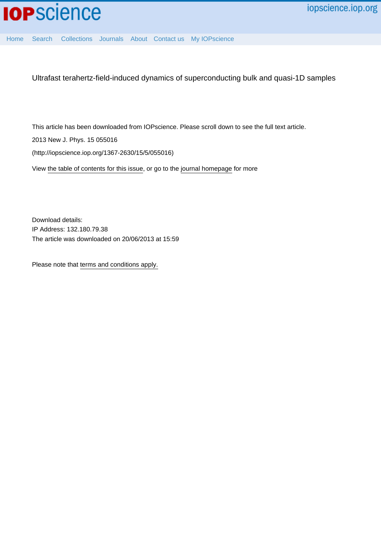

[Home](http://iopscience.iop.org/) [Search](http://iopscience.iop.org/search) [Collections](http://iopscience.iop.org/collections) [Journals](http://iopscience.iop.org/journals) [About](http://iopscience.iop.org/page/aboutioppublishing) [Contact us](http://iopscience.iop.org/contact) [My IOPscience](http://iopscience.iop.org/myiopscience)

Ultrafast terahertz-field-induced dynamics of superconducting bulk and quasi-1D samples

This article has been downloaded from IOPscience. Please scroll down to see the full text article.

2013 New J. Phys. 15 055016

(http://iopscience.iop.org/1367-2630/15/5/055016)

View [the table of contents for this issue](http://iopscience.iop.org/1367-2630/15/5), or go to the [journal homepage](http://iopscience.iop.org/1367-2630) for more

Download details: IP Address: 132.180.79.38 The article was downloaded on 20/06/2013 at 15:59

Please note that [terms and conditions apply.](http://iopscience.iop.org/page/terms)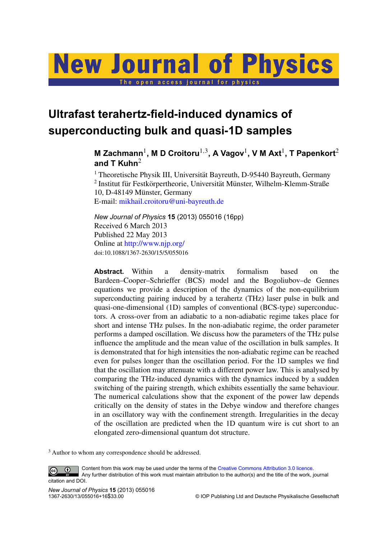# **New Journal of Physics** The open access journal for physics

**Ultrafast terahertz-field-induced dynamics of superconducting bulk and quasi-1D samples**

# **M** Zachmann $^1$ , **M** D Croitoru $^{1,3}$ , A Vagov $^1$ , V M Axt $^1$ , T Papenkort $^2$ **and T Kuhn**<sup>2</sup>

<sup>1</sup> Theoretische Physik III, Universität Bayreuth, D-95440 Bayreuth, Germany  $2$  Institut für Festkörpertheorie, Universität Münster, Wilhelm-Klemm-Straße 10, D-48149 Münster, Germany E-mail: [mikhail.croitoru@uni-bayreuth.de](mailto:mikhail.croitoru@uni-bayreuth.de)

*New Journal of Physics* **15** (2013) 055016 (16pp) Received 6 March 2013 Published 22 May 2013 Online at <http://www.njp.org/> doi:10.1088/1367-2630/15/5/055016

**Abstract.** Within a density-matrix formalism based on the Bardeen–Cooper–Schrieffer (BCS) model and the Bogoliubov–de Gennes equations we provide a description of the dynamics of the non-equilibrium superconducting pairing induced by a terahertz (THz) laser pulse in bulk and quasi-one-dimensional (1D) samples of conventional (BCS-type) superconductors. A cross-over from an adiabatic to a non-adiabatic regime takes place for short and intense THz pulses. In the non-adiabatic regime, the order parameter performs a damped oscillation. We discuss how the parameters of the THz pulse influence the amplitude and the mean value of the oscillation in bulk samples. It is demonstrated that for high intensities the non-adiabatic regime can be reached even for pulses longer than the oscillation period. For the 1D samples we find that the oscillation may attenuate with a different power law. This is analysed by comparing the THz-induced dynamics with the dynamics induced by a sudden switching of the pairing strength, which exhibits essentially the same behaviour. The numerical calculations show that the exponent of the power law depends critically on the density of states in the Debye window and therefore changes in an oscillatory way with the confinement strength. Irregularities in the decay of the oscillation are predicted when the 1D quantum wire is cut short to an elongated zero-dimensional quantum dot structure.

<sup>3</sup> Author to whom any correspondence should be addressed.

Content from this work may be used under the terms of the [Creative Commons Attribution 3.0 licence.](http://creativecommons.org/licenses/by/3.0)  $\odot$  $\left($ cc Any further distribution of this work must maintain attribution to the author(s) and the title of the work, journal

*New Journal of Physics* **15** (2013) 055016

citation and DOI.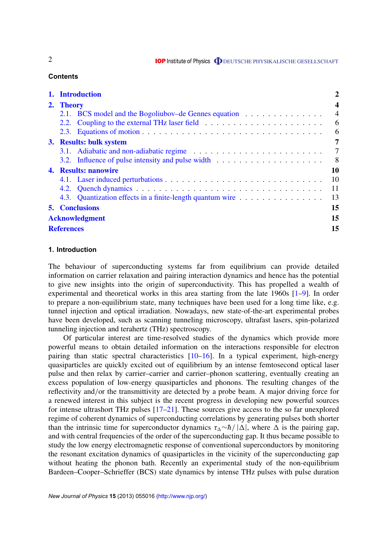**IOP** Institute of Physics **ODEUTSCHE PHYSIKALISCHE GESELLSCHAFT** 

# **Contents**

|                       | 1. Introduction                                           | 2                       |
|-----------------------|-----------------------------------------------------------|-------------------------|
|                       | 2. Theory                                                 | $\overline{\mathbf{4}}$ |
|                       | 2.1. BCS model and the Bogoliubov-de Gennes equation      | $\overline{4}$          |
|                       |                                                           | 6                       |
|                       |                                                           | 6                       |
|                       | 3. Results: bulk system                                   | 7                       |
|                       |                                                           | $\overline{7}$          |
|                       |                                                           | 8 <sup>8</sup>          |
|                       | 4. Results: nanowire                                      | 10                      |
|                       |                                                           | 10                      |
|                       |                                                           | -11                     |
|                       | 4.3. Quantization effects in a finite-length quantum wire | 13                      |
|                       | <b>5. Conclusions</b>                                     | 15                      |
| <b>Acknowledgment</b> |                                                           | 15                      |
| <b>References</b>     |                                                           | 15                      |

# **1. Introduction**

The behaviour of superconducting systems far from equilibrium can provide detailed information on carrier relaxation and pairing interaction dynamics and hence has the potential to give new insights into the origin of superconductivity. This has propelled a wealth of experimental and theoretical works in this area starting from the late 1960s [\[1–9\]](#page-15-0). In order to prepare a non-equilibrium state, many techniques have been used for a long time like, e.g. tunnel injection and optical irradiation. Nowadays, new state-of-the-art experimental probes have been developed, such as scanning tunneling microscopy, ultrafast lasers, spin-polarized tunneling injection and terahertz (THz) spectroscopy.

Of particular interest are time-resolved studies of the dynamics which provide more powerful means to obtain detailed information on the interactions responsible for electron pairing than static spectral characteristics [\[10–](#page-15-0)[16\]](#page-16-0). In a typical experiment, high-energy quasiparticles are quickly excited out of equilibrium by an intense femtosecond optical laser pulse and then relax by carrier–carrier and carrier–phonon scattering, eventually creating an excess population of low-energy quasiparticles and phonons. The resulting changes of the reflectivity and/or the transmittivity are detected by a probe beam. A major driving force for a renewed interest in this subject is the recent progress in developing new powerful sources for intense ultrashort THz pulses [\[17–21\]](#page-16-0). These sources give access to the so far unexplored regime of coherent dynamics of superconducting correlations by generating pulses both shorter than the intrinsic time for superconductor dynamics  $\tau_{\Delta} \sim \hbar / |\Delta|$ , where  $\Delta$  is the pairing gap, and with central frequencies of the order of the superconducting gap. It thus became possible to study the low energy electromagnetic response of conventional superconductors by monitoring the resonant excitation dynamics of quasiparticles in the vicinity of the superconducting gap without heating the phonon bath. Recently an experimental study of the non-equilibrium Bardeen–Cooper–Schrieffer (BCS) state dynamics by intense THz pulses with pulse duration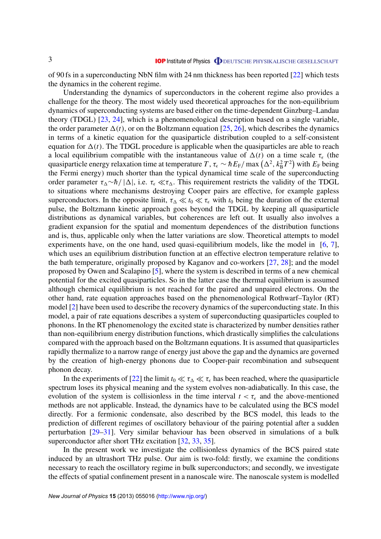of 90 fs in a superconducting NbN film with 24 nm thickness has been reported [\[22\]](#page-16-0) which tests the dynamics in the coherent regime.

Understanding the dynamics of superconductors in the coherent regime also provides a challenge for the theory. The most widely used theoretical approaches for the non-equilibrium dynamics of superconducting systems are based either on the time-dependent Ginzburg–Landau theory (TDGL) [\[23,](#page-16-0) [24\]](#page-16-0), which is a phenomenological description based on a single variable, the order parameter  $\Delta(t)$ , or on the Boltzmann equation [\[25,](#page-16-0) [26\]](#page-16-0), which describes the dynamics in terms of a kinetic equation for the quasiparticle distribution coupled to a self-consistent equation for  $\Delta(t)$ . The TDGL procedure is applicable when the quasiparticles are able to reach a local equilibrium compatible with the instantaneous value of  $\Delta(t)$  on a time scale  $\tau_{\epsilon}$  (the quasiparticle energy relaxation time at temperature *T*,  $\tau_\epsilon \sim \hbar E_{\rm F}/\max\left(\Delta^2, k_{\rm B}^2 T^2\right)$  with  $E_{\rm F}$  being the Fermi energy) much shorter than the typical dynamical time scale of the superconducting order parameter  $\tau_{\Lambda} \sim \hbar / |\Delta|$ , i.e.  $\tau_{\epsilon} \ll \tau_{\Lambda}$ . This requirement restricts the validity of the TDGL to situations where mechanisms destroying Cooper pairs are effective, for example gapless superconductors. In the opposite limit,  $\tau_{\Lambda} \ll t_0 \ll \tau_{\epsilon}$  with  $t_0$  being the duration of the external pulse, the Boltzmann kinetic approach goes beyond the TDGL by keeping all quasiparticle distributions as dynamical variables, but coherences are left out. It usually also involves a gradient expansion for the spatial and momentum dependences of the distribution functions and is, thus, applicable only when the latter variations are slow. Theoretical attempts to model experiments have, on the one hand, used quasi-equilibrium models, like the model in [\[6,](#page-15-0) [7\]](#page-15-0), which uses an equilibrium distribution function at an effective electron temperature relative to the bath temperature, originally proposed by Kaganov and co-workers [\[27,](#page-16-0) [28\]](#page-16-0); and the model proposed by Owen and Scalapino [\[5\]](#page-15-0), where the system is described in terms of a new chemical potential for the excited quasiparticles. So in the latter case the thermal equilibrium is assumed although chemical equilibrium is not reached for the paired and unpaired electrons. On the other hand, rate equation approaches based on the phenomenological Rothwarf–Taylor (RT) model [\[2\]](#page-15-0) have been used to describe the recovery dynamics of the superconducting state. In this model, a pair of rate equations describes a system of superconducting quasiparticles coupled to phonons. In the RT phenomenology the excited state is characterized by number densities rather than non-equilibrium energy distribution functions, which drastically simplifies the calculations compared with the approach based on the Boltzmann equations. It is assumed that quasiparticles rapidly thermalize to a narrow range of energy just above the gap and the dynamics are governed by the creation of high-energy phonons due to Cooper-pair recombination and subsequent phonon decay.

In the experiments of [\[22\]](#page-16-0) the limit  $t_0 \ll \tau_{\Delta} \ll \tau_{\epsilon}$  has been reached, where the quasiparticle spectrum loses its physical meaning and the system evolves non-adiabatically. In this case, the evolution of the system is collisionless in the time interval  $t < \tau_{\epsilon}$  and the above-mentioned methods are not applicable. Instead, the dynamics have to be calculated using the BCS model directly. For a fermionic condensate, also described by the BCS model, this leads to the prediction of different regimes of oscillatory behaviour of the pairing potential after a sudden perturbation [\[29–31\]](#page-16-0). Very similar behaviour has been observed in simulations of a bulk superconductor after short THz excitation [\[32,](#page-16-0) [33,](#page-16-0) [35\]](#page-16-0).

In the present work we investigate the collisionless dynamics of the BCS paired state induced by an ultrashort THz pulse. Our aim is two-fold: firstly, we examine the conditions necessary to reach the oscillatory regime in bulk superconductors; and secondly, we investigate the effects of spatial confinement present in a nanoscale wire. The nanoscale system is modelled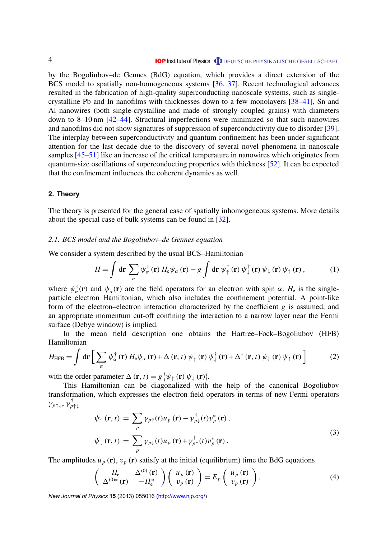<span id="page-4-0"></span>by the Bogoliubov–de Gennes (BdG) equation, which provides a direct extension of the BCS model to spatially non-homogeneous systems [\[36,](#page-16-0) [37\]](#page-16-0). Recent technological advances resulted in the fabrication of high-quality superconducting nanoscale systems, such as singlecrystalline Pb and In nanofilms with thicknesses down to a few monolayers [\[38–41\]](#page-16-0), Sn and Al nanowires (both single-crystalline and made of strongly coupled grains) with diameters down to 8–10 nm [\[42–44\]](#page-16-0). Structural imperfections were minimized so that such nanowires and nanofilms did not show signatures of suppression of superconductivity due to disorder [\[39\]](#page-16-0). The interplay between superconductivity and quantum confinement has been under significant attention for the last decade due to the discovery of several novel phenomena in nanoscale samples [\[45–51\]](#page-16-0) like an increase of the critical temperature in nanowires which originates from quantum-size oscillations of superconducting properties with thickness [\[52\]](#page-16-0). It can be expected that the confinement influences the coherent dynamics as well.

# **2. Theory**

The theory is presented for the general case of spatially inhomogeneous systems. More details about the special case of bulk systems can be found in [\[32\]](#page-16-0).

# *2.1. BCS model and the Bogoliubov–de Gennes equation*

We consider a system described by the usual BCS–Hamiltonian

$$
H = \int d\mathbf{r} \sum_{\alpha} \psi_{\alpha}^{\dagger}(\mathbf{r}) H_{e} \psi_{\alpha}(\mathbf{r}) - g \int d\mathbf{r} \psi_{\uparrow}^{\dagger}(\mathbf{r}) \psi_{\downarrow}^{\dagger}(\mathbf{r}) \psi_{\downarrow}(\mathbf{r}) \psi_{\uparrow}(\mathbf{r}), \qquad (1)
$$

where  $\psi_{\alpha}^{\dagger}(\mathbf{r})$  and  $\psi_{\alpha}(\mathbf{r})$  are the field operators for an electron with spin  $\alpha$ .  $H_e$  is the singleparticle electron Hamiltonian, which also includes the confinement potential. A point-like form of the electron–electron interaction characterized by the coefficient *g* is assumed, and an appropriate momentum cut-off confining the interaction to a narrow layer near the Fermi surface (Debye window) is implied.

In the mean field description one obtains the Hartree–Fock–Bogoliubov (HFB) Hamiltonian

$$
H_{\text{HFB}} = \int d\mathbf{r} \left[ \sum_{\alpha} \psi_{\alpha}^{\dagger}(\mathbf{r}) H_{e} \psi_{\alpha}(\mathbf{r}) + \Delta(\mathbf{r}, t) \psi_{\uparrow}^{\dagger}(\mathbf{r}) \psi_{\downarrow}^{\dagger}(\mathbf{r}) + \Delta^{*}(\mathbf{r}, t) \psi_{\downarrow}(\mathbf{r}) \psi_{\uparrow}(\mathbf{r}) \right]
$$
(2)

with the order parameter  $\Delta(\mathbf{r}, t) = g(\psi_{\uparrow}(\mathbf{r}) \psi_{\downarrow}(\mathbf{r}))$ .

This Hamiltonian can be diagonalized with the help of the canonical Bogoliubov transformation, which expresses the electron field operators in terms of new Fermi operators γ*p*↑↓, γ † *p*↑↓

$$
\psi_{\uparrow}(\mathbf{r},t) = \sum_{p} \gamma_{p\uparrow}(t) u_{p}(\mathbf{r}) - \gamma_{p\downarrow}^{\dagger}(t) v_{p}^{*}(\mathbf{r}),
$$
\n
$$
\psi_{\downarrow}(\mathbf{r},t) = \sum_{p} \gamma_{p\downarrow}(t) u_{p}(\mathbf{r}) + \gamma_{p\uparrow}^{\dagger}(t) v_{p}^{*}(\mathbf{r}).
$$
\n(3)

The amplitudes  $u_p(\mathbf{r})$ ,  $v_p(\mathbf{r})$  satisfy at the initial (equilibrium) time the BdG equations

$$
\begin{pmatrix} H_{e} & \Delta^{(0)}(\mathbf{r}) \\ \Delta^{(0)*}(\mathbf{r}) & -H_{e}^{*} \end{pmatrix} \begin{pmatrix} u_{p}(\mathbf{r}) \\ v_{p}(\mathbf{r}) \end{pmatrix} = E_{p} \begin{pmatrix} u_{p}(\mathbf{r}) \\ v_{p}(\mathbf{r}) \end{pmatrix}.
$$
 (4)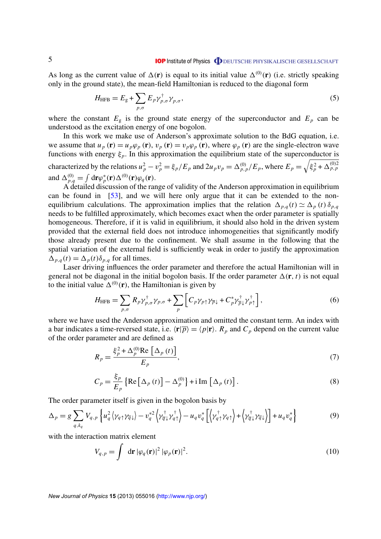<span id="page-5-0"></span>As long as the current value of  $\Delta(\mathbf{r})$  is equal to its initial value  $\Delta^{(0)}(\mathbf{r})$  (i.e. strictly speaking only in the ground state), the mean-field Hamiltonian is reduced to the diagonal form

$$
H_{\text{HFB}} = E_{\text{g}} + \sum_{p,\sigma} E_p \gamma_{p,\sigma}^{\dagger} \gamma_{p,\sigma}, \qquad (5)
$$

where the constant  $E<sub>g</sub>$  is the ground state energy of the superconductor and  $E<sub>p</sub>$  can be understood as the excitation energy of one bogolon.

In this work we make use of Anderson's approximate solution to the BdG equation, i.e. we assume that  $u_p(\mathbf{r}) = u_p \varphi_p(\mathbf{r})$ ,  $v_p(\mathbf{r}) = v_p \varphi_p(\mathbf{r})$ , where  $\varphi_p(\mathbf{r})$  are the single-electron wave functions with energy  $\xi_p$ . In this approximation the equilibrium state of the superconductor is characterized by the relations  $u_p^2 - v_p^2 = \xi_p/E_p$  and  $2u_p v_p = \Delta_{p,p}^{(0)}/E_p$ , where  $E_p = \sqrt{\xi_p^2 + \Delta_{p,p}^{(0)2}}$ and  $\Delta_{p,q}^{(0)} = \int d\mathbf{r} \varphi_p^*$  $_{p}^{*}(\mathbf{r})\Delta^{(0)}(\mathbf{r})\varphi_{q}(\mathbf{r}).$ 

A detailed discussion of the range of validity of the Anderson approximation in equilibrium can be found in [\[53\]](#page-16-0), and we will here only argue that it can be extended to the nonequilibrium calculations. The approximation implies that the relation  $\Delta_{p,q}(t) \simeq \Delta_p(t) \delta_{p,q}$ needs to be fulfilled approximately, which becomes exact when the order parameter is spatially homogeneous. Therefore, if it is valid in equilibrium, it should also hold in the driven system provided that the external field does not introduce inhomogeneities that significantly modify those already present due to the confinement. We shall assume in the following that the spatial variation of the external field is sufficiently weak in order to justify the approximation  $\Delta_{p,q}(t) = \Delta_p(t) \delta_{p,q}$  for all times.

Laser driving influences the order parameter and therefore the actual Hamiltonian will in general not be diagonal in the initial bogolon basis. If the order parameter  $\Delta(\mathbf{r}, t)$  is not equal to the initial value  $\Delta^{(0)}(\mathbf{r})$ , the Hamiltonian is given by

$$
H_{\text{HFB}} = \sum_{p,\sigma} R_p \gamma_{p,\sigma}^{\dagger} \gamma_{p,\sigma} + \sum_{p} \left[ C_p \gamma_{p\uparrow} \gamma_{\overline{p}\downarrow} + C_p^* \gamma_{\overline{p}\downarrow}^{\dagger} \gamma_{p\uparrow}^{\dagger} \right],
$$
(6)

where we have used the Anderson approximation and omitted the constant term. An index with a bar indicates a time-reversed state, i.e.  $\langle \mathbf{r}|\overline{p}\rangle = \langle p|\mathbf{r}\rangle$ .  $R_p$  and  $C_p$  depend on the current value of the order parameter and are defined as

$$
R_p = \frac{\xi_p^2 + \Delta_p^{(0)} \text{Re} \left[ \Delta_p \left( t \right) \right]}{E_p},\tag{7}
$$

$$
C_p = \frac{\xi_p}{E_p} \left\{ \text{Re} \left[ \Delta_p(t) \right] - \Delta_p^{(0)} \right\} + i \operatorname{Im} \left[ \Delta_p(t) \right]. \tag{8}
$$

The order parameter itself is given in the bogolon basis by

$$
\Delta_p = g \sum_{q, k_q} V_{q, p} \left\{ u_q^2 \left\langle \gamma_{q \uparrow} \gamma_{\overline{q} \downarrow} \right\rangle - v_q^{*2} \left\langle \gamma_{\overline{q} \downarrow}^{\dagger} \gamma_{q \uparrow}^{\dagger} \right\rangle - u_q v_q^{*} \left[ \left\langle \gamma_{q \uparrow}^{\dagger} \gamma_{q \uparrow} \right\rangle + \left\langle \gamma_{\overline{q} \downarrow}^{\dagger} \gamma_{\overline{q} \downarrow} \right\rangle \right] + u_q v_q^{*} \right\} \tag{9}
$$

with the interaction matrix element

$$
V_{q,p} = \int d\mathbf{r} |\varphi_q(\mathbf{r})|^2 |\varphi_p(\mathbf{r})|^2.
$$
 (10)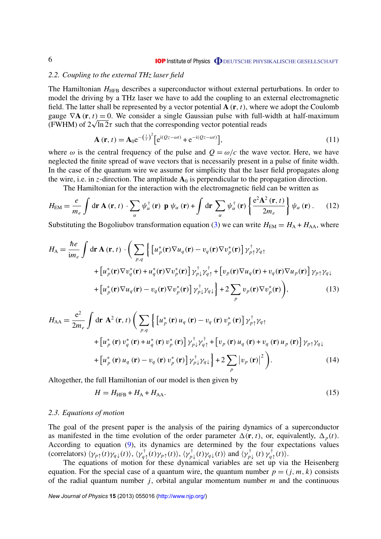#### <span id="page-6-0"></span>*2.2. Coupling to the external THz laser field*

The Hamiltonian *H*<sub>HFB</sub> describes a superconductor without external perturbations. In order to model the driving by a THz laser we have to add the coupling to an external electromagnetic field. The latter shall be represented by a vector potential **A** (**r**, *t*), where we adopt the Coulomb gauge  $\nabla$ **A** (**r**, *t*) = 0. We consider a single Gaussian pulse with full-width at half-maximum gauge  $\nabla$ **A** (**r**, *t*) = 0. We consider a single Gaussian pulse with full-v (FWHM) of  $2\sqrt{\ln 2}\tau$  such that the corresponding vector potential reads

$$
\mathbf{A}(\mathbf{r},t) = \mathbf{A}_0 e^{-\left(\frac{t}{\tau}\right)^2} \left[ e^{i(Qz-\omega t)} + e^{-i(Qz-\omega t)} \right],\tag{11}
$$

where  $\omega$  is the central frequency of the pulse and  $Q = \omega/c$  the wave vector. Here, we have neglected the finite spread of wave vectors that is necessarily present in a pulse of finite width. In the case of the quantum wire we assume for simplicity that the laser field propagates along the wire, i.e. in *z*-direction. The amplitude  $A_0$  is perpendicular to the propagation direction.

The Hamiltonian for the interaction with the electromagnetic field can be written as

$$
H_{\text{EM}} = \frac{e}{m_e} \int \mathrm{d}\mathbf{r} \, \mathbf{A} \left( \mathbf{r}, t \right) \cdot \sum_{\alpha} \psi_{\alpha}^{\dagger} \left( \mathbf{r} \right) \, \mathbf{p} \, \psi_{\alpha} \left( \mathbf{r} \right) + \int \mathrm{d}\mathbf{r} \, \sum_{\alpha} \psi_{\alpha}^{\dagger} \left( \mathbf{r} \right) \left\{ \frac{e^2 \mathbf{A}^2 \left( \mathbf{r}, t \right)}{2 m_e} \right\} \psi_{\alpha} \left( \mathbf{r} \right). \tag{12}
$$

Substituting the Bogoliubov transformation equation [\(3\)](#page-4-0) we can write  $H_{EM} = H_A + H_{AA}$ , where

$$
H_{A} = \frac{\hbar e}{\text{i}m_{e}} \int d\mathbf{r} \mathbf{A}(\mathbf{r}, t) \cdot \left( \sum_{p,q} \left\{ \left[ u_{p}^{*}(\mathbf{r}) \nabla u_{q}(\mathbf{r}) - v_{q}(\mathbf{r}) \nabla v_{p}^{*}(\mathbf{r}) \right] \gamma_{p\uparrow}^{\dagger} \gamma_{q\uparrow} \right. \right. \\ \left. + \left[ u_{p}^{*}(\mathbf{r}) \nabla v_{q}^{*}(\mathbf{r}) + u_{q}^{*}(\mathbf{r}) \nabla v_{p}^{*}(\mathbf{r}) \right] \gamma_{p\downarrow}^{\dagger} \gamma_{q\uparrow}^{\dagger} + \left[ v_{p}(\mathbf{r}) \nabla u_{q}(\mathbf{r}) + v_{q}(\mathbf{r}) \nabla u_{p}(\mathbf{r}) \right] \gamma_{p\uparrow} \gamma_{q\downarrow} \right. \\ \left. + \left[ u_{p}^{*}(\mathbf{r}) \nabla u_{q}(\mathbf{r}) - v_{q}(\mathbf{r}) \nabla v_{p}^{*}(\mathbf{r}) \right] \gamma_{p\downarrow}^{\dagger} \gamma_{q\downarrow} \right\} + 2 \sum_{p} v_{p}(\mathbf{r}) \nabla v_{p}^{*}(\mathbf{r}) \right), \tag{13}
$$

$$
H_{AA} = \frac{e^2}{2m_e} \int d\mathbf{r} \ \mathbf{A}^2 (\mathbf{r}, t) \left( \sum_{p,q} \left\{ \left[ u_p^* (\mathbf{r}) u_q (\mathbf{r}) - v_q (\mathbf{r}) v_p^* (\mathbf{r}) \right] \gamma_{p\uparrow}^{\dagger} \gamma_{q\uparrow} \right. \right. \\ \left. + \left[ u_p^* (\mathbf{r}) v_q^* (\mathbf{r}) + u_q^* (\mathbf{r}) v_p^* (\mathbf{r}) \right] \gamma_{p\downarrow}^{\dagger} \gamma_{q\uparrow}^{\dagger} + \left[ v_p (\mathbf{r}) u_q (\mathbf{r}) + v_q (\mathbf{r}) u_p (\mathbf{r}) \right] \gamma_{p\uparrow} \gamma_{q\downarrow} \right. \\ \left. + \left[ u_p^* (\mathbf{r}) u_q (\mathbf{r}) - v_q (\mathbf{r}) v_p^* (\mathbf{r}) \right] \gamma_{p\downarrow}^{\dagger} \gamma_{q\downarrow} \right\} + 2 \sum_p |v_p (\mathbf{r})|^2 \right). \tag{14}
$$

Altogether, the full Hamiltonian of our model is then given by

$$
H = H_{\text{HFB}} + H_{\text{A}} + H_{\text{AA}}.\tag{15}
$$

#### *2.3. Equations of motion*

The goal of the present paper is the analysis of the pairing dynamics of a superconductor as manifested in the time evolution of the order parameter  $\Delta(\mathbf{r}, t)$ , or, equivalently,  $\Delta_p(t)$ . According to equation [\(9\)](#page-5-0), its dynamics are determined by the four expectations values (correlators)  $\langle \gamma_{p\uparrow}(t)\gamma_{q\downarrow}(t)\rangle$ ,  $\langle \gamma_{q\uparrow}^{\dagger}(t)\gamma_{p\uparrow}(t)\rangle$ ,  $\langle \gamma_{p\downarrow}^{\dagger}(t)\gamma_{q\downarrow}(t)\rangle$  and  $\langle \gamma_{p\downarrow}^{\dagger}(t)\gamma_{q\uparrow}^{\dagger}(t)\rangle$ .

The equations of motion for these dynamical variables are set up via the Heisenberg equation. For the special case of a quantum wire, the quantum number  $p = (j, m, k)$  consists of the radial quantum number *j*, orbital angular momentum number *m* and the continuous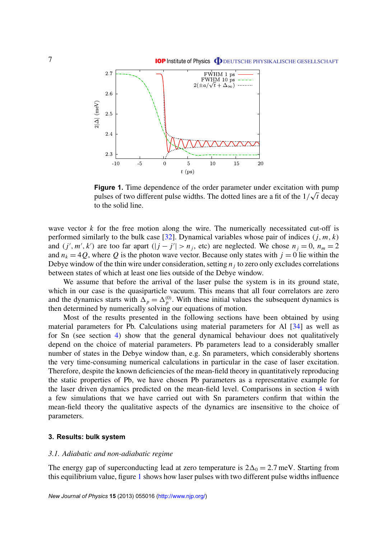<span id="page-7-0"></span>

**Figure 1.** Time dependence of the order parameter under excitation with pump pulses of two different pulse widths. The dotted lines are a fit of the  $1/\sqrt{t}$  decay to the solid line.

wave vector *k* for the free motion along the wire. The numerically necessitated cut-off is performed similarly to the bulk case  $[32]$ . Dynamical variables whose pair of indices  $(j, m, k)$ and  $(j', m', k')$  are too far apart  $(|j - j'| > n_j$ , etc) are neglected. We chose  $n_j = 0$ ,  $n_m = 2$ and  $n_k = 4Q$ , where Q is the photon wave vector. Because only states with  $j = 0$  lie within the Debye window of the thin wire under consideration, setting  $n_j$  to zero only excludes correlations between states of which at least one lies outside of the Debye window.

We assume that before the arrival of the laser pulse the system is in its ground state, which in our case is the quasiparticle vacuum. This means that all four correlators are zero and the dynamics starts with  $\Delta_p = \Delta_p^{(0)}$ . With these initial values the subsequent dynamics is then determined by numerically solving our equations of motion.

Most of the results presented in the following sections have been obtained by using material parameters for Pb. Calculations using material parameters for Al [\[34\]](#page-16-0) as well as for Sn (see section [4\)](#page-9-0) show that the general dynamical behaviour does not qualitatively depend on the choice of material parameters. Pb parameters lead to a considerably smaller number of states in the Debye window than, e.g. Sn parameters, which considerably shortens the very time-consuming numerical calculations in particular in the case of laser excitation. Therefore, despite the known deficiencies of the mean-field theory in quantitatively reproducing the static properties of Pb, we have chosen Pb parameters as a representative example for the laser driven dynamics predicted on the mean-field level. Comparisons in section [4](#page-9-0) with a few simulations that we have carried out with Sn parameters confirm that within the mean-field theory the qualitative aspects of the dynamics are insensitive to the choice of parameters.

# **3. Results: bulk system**

#### *3.1. Adiabatic and non-adiabatic regime*

The energy gap of superconducting lead at zero temperature is  $2\Delta_0 = 2.7$  meV. Starting from this equilibrium value, figure 1 shows how laser pulses with two different pulse widths influence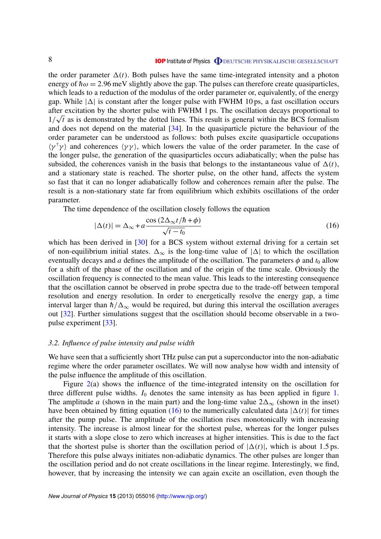<span id="page-8-0"></span>the order parameter  $\Delta(t)$ . Both pulses have the same time-integrated intensity and a photon energy of  $\hbar\omega = 2.96$  meV slightly above the gap. The pulses can therefore create quasiparticles, which leads to a reduction of the modulus of the order parameter or, equivalently, of the energy gap. While  $|\Delta|$  is constant after the longer pulse with FWHM 10 ps, a fast oscillation occurs after excitation by the shorter pulse with FWHM 1 ps. The oscillation decays proportional to  $1/\sqrt{t}$  as is demonstrated by the dotted lines. This result is general within the BCS formalism and does not depend on the material [\[34\]](#page-16-0). In the quasiparticle picture the behaviour of the order parameter can be understood as follows: both pulses excite quasiparticle occupations  $\langle \gamma^{\dagger} \gamma \rangle$  and coherences  $\langle \gamma \gamma \rangle$ , which lowers the value of the order parameter. In the case of the longer pulse, the generation of the quasiparticles occurs adiabatically; when the pulse has subsided, the coherences vanish in the basis that belongs to the instantaneous value of  $\Delta(t)$ , and a stationary state is reached. The shorter pulse, on the other hand, affects the system so fast that it can no longer adiabatically follow and coherences remain after the pulse. The result is a non-stationary state far from equilibrium which exhibits oscillations of the order parameter.

The time dependence of the oscillation closely follows the equation

$$
|\Delta(t)| = \Delta_{\infty} + a \frac{\cos(2\Delta_{\infty}t/\hbar + \phi)}{\sqrt{t - t_0}}
$$
\n(16)

which has been derived in [\[30\]](#page-16-0) for a BCS system without external driving for a certain set of non-equilibrium initial states.  $\Delta_{\infty}$  is the long-time value of  $|\Delta|$  to which the oscillation eventually decays and *a* defines the amplitude of the oscillation. The parameters  $\phi$  and  $t_0$  allow for a shift of the phase of the oscillation and of the origin of the time scale. Obviously the oscillation frequency is connected to the mean value. This leads to the interesting consequence that the oscillation cannot be observed in probe spectra due to the trade-off between temporal resolution and energy resolution. In order to energetically resolve the energy gap, a time interval larger than  $\hbar/\Delta_{\infty}$  would be required, but during this interval the oscillation averages out [\[32\]](#page-16-0). Further simulations suggest that the oscillation should become observable in a twopulse experiment [\[33\]](#page-16-0).

#### *3.2. Influence of pulse intensity and pulse width*

We have seen that a sufficiently short THz pulse can put a superconductor into the non-adiabatic regime where the order parameter oscillates. We will now analyse how width and intensity of the pulse influence the amplitude of this oscillation.

Figure [2\(](#page-9-0)a) shows the influence of the time-integrated intensity on the oscillation for three different pulse widths.  $I_0$  denotes the same intensity as has been applied in figure [1.](#page-7-0) The amplitude *a* (shown in the main part) and the long-time value  $2\Delta_{\infty}$  (shown in the inset) have been obtained by fitting equation (16) to the numerically calculated data  $|\Delta(t)|$  for times after the pump pulse. The amplitude of the oscillation rises monotonically with increasing intensity. The increase is almost linear for the shortest pulse, whereas for the longer pulses it starts with a slope close to zero which increases at higher intensities. This is due to the fact that the shortest pulse is shorter than the oscillation period of  $|\Delta(t)|$ , which is about 1.5 ps. Therefore this pulse always initiates non-adiabatic dynamics. The other pulses are longer than the oscillation period and do not create oscillations in the linear regime. Interestingly, we find, however, that by increasing the intensity we can again excite an oscillation, even though the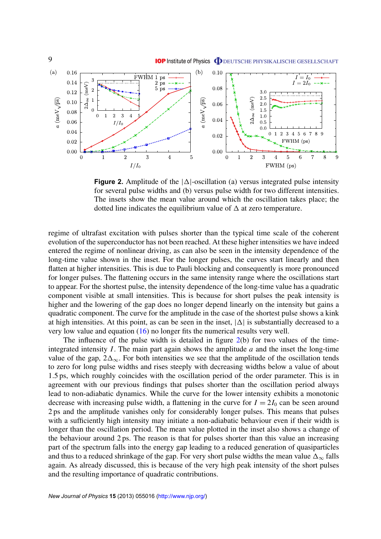

<span id="page-9-0"></span>

**Figure 2.** Amplitude of the  $|\Delta|$ -oscillation (a) versus integrated pulse intensity for several pulse widths and (b) versus pulse width for two different intensities. The insets show the mean value around which the oscillation takes place; the dotted line indicates the equilibrium value of  $\Delta$  at zero temperature.

regime of ultrafast excitation with pulses shorter than the typical time scale of the coherent evolution of the superconductor has not been reached. At these higher intensities we have indeed entered the regime of nonlinear driving, as can also be seen in the intensity dependence of the long-time value shown in the inset. For the longer pulses, the curves start linearly and then flatten at higher intensities. This is due to Pauli blocking and consequently is more pronounced for longer pulses. The flattening occurs in the same intensity range where the oscillations start to appear. For the shortest pulse, the intensity dependence of the long-time value has a quadratic component visible at small intensities. This is because for short pulses the peak intensity is higher and the lowering of the gap does no longer depend linearly on the intensity but gains a quadratic component. The curve for the amplitude in the case of the shortest pulse shows a kink at high intensities. At this point, as can be seen in the inset,  $|\Delta|$  is substantially decreased to a very low value and equation [\(16\)](#page-8-0) no longer fits the numerical results very well.

The influence of the pulse width is detailed in figure 2(b) for two values of the timeintegrated intensity *I*. The main part again shows the amplitude *a* and the inset the long-time value of the gap,  $2\Delta_{\infty}$ . For both intensities we see that the amplitude of the oscillation tends to zero for long pulse widths and rises steeply with decreasing widths below a value of about 1.5 ps, which roughly coincides with the oscillation period of the order parameter. This is in agreement with our previous findings that pulses shorter than the oscillation period always lead to non-adiabatic dynamics. While the curve for the lower intensity exhibits a monotonic decrease with increasing pulse width, a flattening in the curve for  $I = 2I_0$  can be seen around 2 ps and the amplitude vanishes only for considerably longer pulses. This means that pulses with a sufficiently high intensity may initiate a non-adiabatic behaviour even if their width is longer than the oscillation period. The mean value plotted in the inset also shows a change of the behaviour around 2 ps. The reason is that for pulses shorter than this value an increasing part of the spectrum falls into the energy gap leading to a reduced generation of quasiparticles and thus to a reduced shrinkage of the gap. For very short pulse widths the mean value  $\Delta_{\infty}$  falls again. As already discussed, this is because of the very high peak intensity of the short pulses and the resulting importance of quadratic contributions.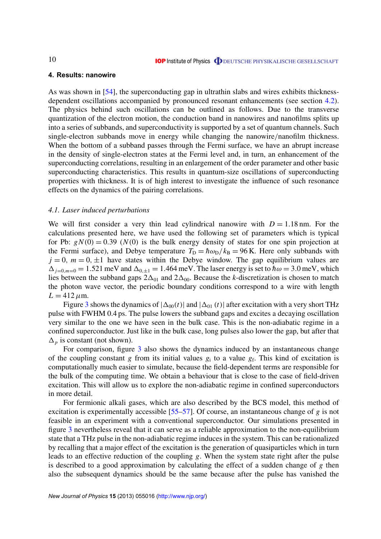# <span id="page-10-0"></span>**4. Results: nanowire**

As was shown in [\[54\]](#page-16-0), the superconducting gap in ultrathin slabs and wires exhibits thicknessdependent oscillations accompanied by pronounced resonant enhancements (see section [4.2\)](#page-11-0). The physics behind such oscillations can be outlined as follows. Due to the transverse quantization of the electron motion, the conduction band in nanowires and nanofilms splits up into a series of subbands, and superconductivity is supported by a set of quantum channels. Such single-electron subbands move in energy while changing the nanowire/nanofilm thickness. When the bottom of a subband passes through the Fermi surface, we have an abrupt increase in the density of single-electron states at the Fermi level and, in turn, an enhancement of the superconducting correlations, resulting in an enlargement of the order parameter and other basic superconducting characteristics. This results in quantum-size oscillations of superconducting properties with thickness. It is of high interest to investigate the influence of such resonance effects on the dynamics of the pairing correlations.

# *4.1. Laser induced perturbations*

We will first consider a very thin lead cylindrical nanowire with  $D = 1.18$  nm. For the calculations presented here, we have used the following set of parameters which is typical for Pb:  $gN(0) = 0.39$  ( $N(0)$ ) is the bulk energy density of states for one spin projection at the Fermi surface), and Debye temperature  $T_D = \hbar \omega_D / k_B = 96$  K. Here only subbands with  $j = 0$ ,  $m = 0, \pm 1$  have states within the Debye window. The gap equilibrium values are  $\Delta_{i=0,m=0} = 1.521$  meV and  $\Delta_{0,\pm 1} = 1.464$  meV. The laser energy is set to  $\hbar \omega = 3.0$  meV, which lies between the subband gaps  $2\Delta_{01}$  and  $2\Delta_{00}$ . Because the *k*-discretization is chosen to match the photon wave vector, the periodic boundary conditions correspond to a wire with length  $L = 412 \,\mu \text{m}$ .

Figure [3](#page-11-0) shows the dynamics of  $|\Delta_{00}(t)|$  and  $|\Delta_{01}(t)|$  after excitation with a very short THz pulse with FWHM 0.4 ps. The pulse lowers the subband gaps and excites a decaying oscillation very similar to the one we have seen in the bulk case. This is the non-adiabatic regime in a confined superconductor. Just like in the bulk case, long pulses also lower the gap, but after that  $\Delta_p$  is constant (not shown).

For comparison, figure [3](#page-11-0) also shows the dynamics induced by an instantaneous change of the coupling constant  $g$  from its initial values  $g_i$  to a value  $g_f$ . This kind of excitation is computationally much easier to simulate, because the field-dependent terms are responsible for the bulk of the computing time. We obtain a behaviour that is close to the case of field-driven excitation. This will allow us to explore the non-adiabatic regime in confined superconductors in more detail.

For fermionic alkali gases, which are also described by the BCS model, this method of excitation is experimentally accessible [\[55–57\]](#page-16-0). Of course, an instantaneous change of *g* is not feasible in an experiment with a conventional superconductor. Our simulations presented in figure [3](#page-11-0) nevertheless reveal that it can serve as a reliable approximation to the non-equilibrium state that a THz pulse in the non-adiabatic regime induces in the system. This can be rationalized by recalling that a major effect of the excitation is the generation of quasiparticles which in turn leads to an effective reduction of the coupling *g*. When the system state right after the pulse is described to a good approximation by calculating the effect of a sudden change of *g* then also the subsequent dynamics should be the same because after the pulse has vanished the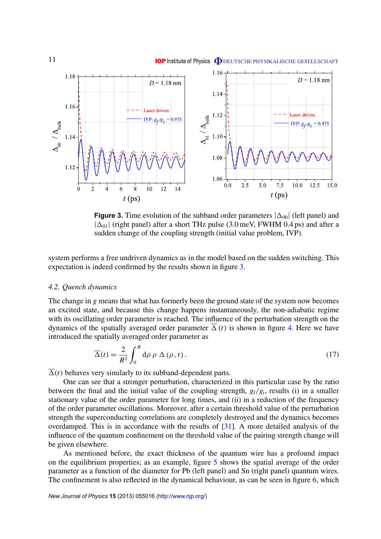<span id="page-11-0"></span>

**Figure 3.** Time evolution of the subband order parameters  $|\Delta_{00}|$  (left panel) and  $|\Delta_{01}|$  (right panel) after a short THz pulse (3.0 meV, FWHM 0.4 ps) and after a sudden change of the coupling strength (initial value problem, IVP).

system performs a free undriven dynamics as in the model based on the sudden switching. This expectation is indeed confirmed by the results shown in figure 3.

#### *4.2. Quench dynamics*

The change in *g* means that what has formerly been the ground state of the system now becomes an excited state, and because this change happens instantaneously, the non-adiabatic regime with its oscillating order parameter is reached. The influence of the perturbation strength on the dynamics of the spatially averaged order parameter  $\overline{\Delta}(t)$  is shown in figure [4.](#page-12-0) Here we have introduced the spatially averaged order parameter as

$$
\overline{\Delta}(t) = \frac{2}{R^2} \int_0^R d\rho \, \rho \, \Delta(\rho, t) \,. \tag{17}
$$

 $\overline{\Delta}(t)$  behaves very similarly to its subband-dependent parts.

One can see that a stronger perturbation, characterized in this particular case by the ratio between the final and the initial value of the coupling strength,  $g_f/g_i$ , results (i) in a smaller stationary value of the order parameter for long times, and (ii) in a reduction of the frequency of the order parameter oscillations. Moreover, after a certain threshold value of the perturbation strength the superconducting correlations are completely destroyed and the dynamics becomes overdamped. This is in accordance with the results of [\[31\]](#page-16-0). A more detailed analysis of the influence of the quantum confinement on the threshold value of the pairing strength change will be given elsewhere.

As mentioned before, the exact thickness of the quantum wire has a profound impact on the equilibrium properties; as an example, figure [5](#page-12-0) shows the spatial average of the order parameter as a function of the diameter for Pb (left panel) and Sn (right panel) quantum wires. The confinement is also reflected in the dynamical behaviour, as can be seen in figure [6,](#page-13-0) which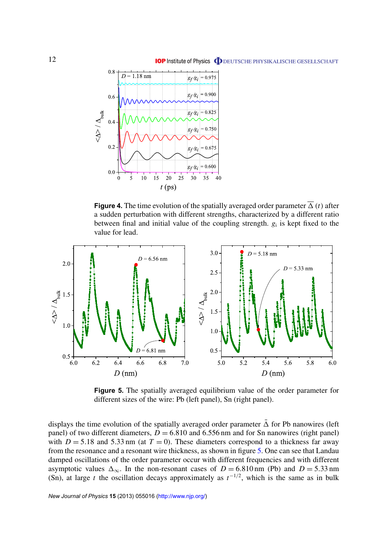<span id="page-12-0"></span>

**Figure 4.** The time evolution of the spatially averaged order parameter  $\overline{\Delta}(t)$  after a sudden perturbation with different strengths, characterized by a different ratio between final and initial value of the coupling strength. *g*<sup>i</sup> is kept fixed to the value for lead.



**Figure 5.** The spatially averaged equilibrium value of the order parameter for different sizes of the wire: Pb (left panel), Sn (right panel).

displays the time evolution of the spatially averaged order parameter  $\bar{\Delta}$  for Pb nanowires (left panel) of two different diameters,  $D = 6.810$  and  $6.556$  nm and for Sn nanowires (right panel) with  $D = 5.18$  and 5.33 nm (at  $T = 0$ ). These diameters correspond to a thickness far away from the resonance and a resonant wire thickness, as shown in figure 5. One can see that Landau damped oscillations of the order parameter occur with different frequencies and with different asymptotic values  $\Delta_{\infty}$ . In the non-resonant cases of *D* = 6.810 nm (Pb) and *D* = 5.33 nm (Sn), at large *t* the oscillation decays approximately as  $t^{-1/2}$ , which is the same as in bulk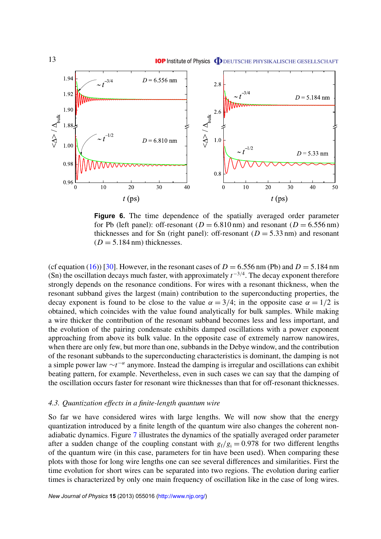<span id="page-13-0"></span>

**Figure 6.** The time dependence of the spatially averaged order parameter for Pb (left panel): off-resonant ( $D = 6.810$  nm) and resonant ( $D = 6.556$  nm) thicknesses and for Sn (right panel): off-resonant  $(D = 5.33 \text{ nm})$  and resonant  $(D = 5.184 \text{ nm})$  thicknesses.

(cf equation [\(16\)](#page-8-0)) [\[30\]](#page-16-0). However, in the resonant cases of  $D = 6.556$  nm (Pb) and  $D = 5.184$  nm (Sn) the oscillation decays much faster, with approximately  $t^{-3/4}$ . The decay exponent therefore strongly depends on the resonance conditions. For wires with a resonant thickness, when the resonant subband gives the largest (main) contribution to the superconducting properties, the decay exponent is found to be close to the value  $\alpha = 3/4$ ; in the opposite case  $\alpha = 1/2$  is obtained, which coincides with the value found analytically for bulk samples. While making a wire thicker the contribution of the resonant subband becomes less and less important, and the evolution of the pairing condensate exhibits damped oscillations with a power exponent approaching from above its bulk value. In the opposite case of extremely narrow nanowires, when there are only few, but more than one, subbands in the Debye window, and the contribution of the resonant subbands to the superconducting characteristics is dominant, the damping is not a simple power law ∼*t*<sup>-α</sup> anymore. Instead the damping is irregular and oscillations can exhibit beating pattern, for example. Nevertheless, even in such cases we can say that the damping of the oscillation occurs faster for resonant wire thicknesses than that for off-resonant thicknesses.

# *4.3. Quantization effects in a finite-length quantum wire*

So far we have considered wires with large lengths. We will now show that the energy quantization introduced by a finite length of the quantum wire also changes the coherent nonadiabatic dynamics. Figure [7](#page-14-0) illustrates the dynamics of the spatially averaged order parameter after a sudden change of the coupling constant with  $g_f/g_i = 0.978$  for two different lengths of the quantum wire (in this case, parameters for tin have been used). When comparing these plots with those for long wire lengths one can see several differences and similarities. First the time evolution for short wires can be separated into two regions. The evolution during earlier times is characterized by only one main frequency of oscillation like in the case of long wires.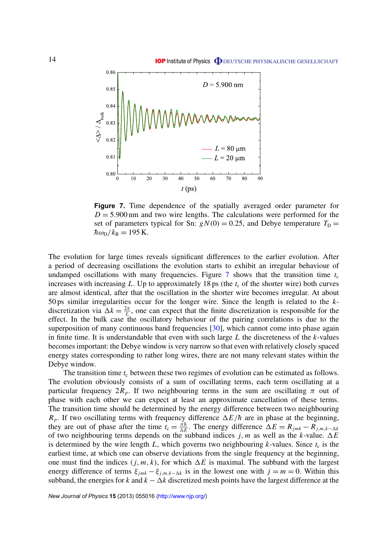<span id="page-14-0"></span>

**Figure 7.** Time dependence of the spatially averaged order parameter for  $D = 5.900$  nm and two wire lengths. The calculations were performed for the set of parameters typical for Sn:  $gN(0) = 0.25$ , and Debye temperature  $T_D$  =  $\hbar \omega_{\rm D}/k_{\rm B} = 195$  K.

The evolution for large times reveals significant differences to the earlier evolution. After a period of decreasing oscillations the evolution starts to exhibit an irregular behaviour of undamped oscillations with many frequencies. Figure  $\frac{7}{1}$  shows that the transition time  $t_c$ increases with increasing  $L$ . Up to approximately 18 ps (the  $t_c$  of the shorter wire) both curves are almost identical, after that the oscillation in the shorter wire becomes irregular. At about 50 ps similar irregularities occur for the longer wire. Since the length is related to the *k*discretization via  $\Delta k = \frac{2\pi}{l}$  $\frac{2\pi}{L}$ , one can expect that the finite discretization is responsible for the effect. In the bulk case the oscillatory behaviour of the pairing correlations is due to the superposition of many continuous band frequencies [\[30\]](#page-16-0), which cannot come into phase again in finite time. It is understandable that even with such large *L* the discreteness of the *k*-values becomes important: the Debye window is very narrow so that even with relatively closely spaced energy states corresponding to rather long wires, there are not many relevant states within the Debye window.

The transition time  $t_c$  between these two regimes of evolution can be estimated as follows. The evolution obviously consists of a sum of oscillating terms, each term oscillating at a particular frequency  $2R_p$ . If two neighbouring terms in the sum are oscillating  $\pi$  out of phase with each other we can expect at least an approximate cancellation of these terms. The transition time should be determined by the energy difference between two neighbouring  $R_p$ . If two oscillating terms with frequency difference  $\Delta E/\hbar$  are in phase at the beginning, they are out of phase after the time  $t_c = \frac{\pi \hbar}{\Delta E}$  $\frac{\pi \hbar}{\Delta E}$ . The energy difference  $\Delta E = R_{jmk} - R_{j,m,k-\Delta k}$ of two neighbouring terms depends on the subband indices  $j$ ,  $m$  as well as the  $k$ -value.  $\Delta E$ is determined by the wire length  $L$ , which governs two neighbouring  $k$ -values. Since  $t_c$  is the earliest time, at which one can observe deviations from the single frequency at the beginning, one must find the indices  $(j, m, k)$ , for which  $\Delta E$  is maximal. The subband with the largest energy difference of terms  $\xi_{jmk} - \xi_{j,m,k-\Delta k}$  is in the lowest one with  $j = m = 0$ . Within this subband, the energies for *k* and  $k - \Delta k$  discretized mesh points have the largest difference at the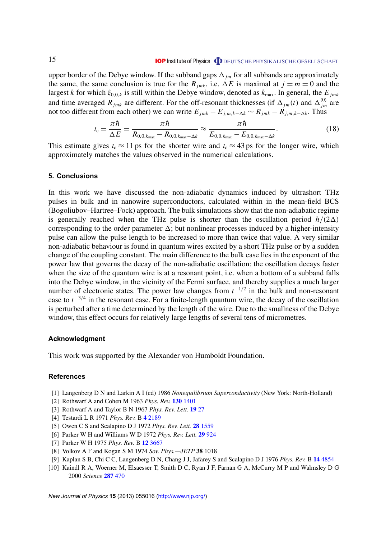# **IOP** Institute of Physics **ODEUTSCHE PHYSIKALISCHE GESELLSCHAFT**

<span id="page-15-0"></span>upper border of the Debye window. If the subband gaps  $\Delta_{im}$  for all subbands are approximately the same, the same conclusion is true for the  $R_{imk}$ , i.e.  $\Delta E$  is maximal at  $j = m = 0$  and the largest *k* for which  $\xi_{0,0,k}$  is still within the Debye window, denoted as  $k_{\text{max}}$ . In general, the  $E_{jmk}$ and time averaged  $R_{jmk}$  are different. For the off-resonant thicknesses (if  $\Delta_{jm}(t)$  and  $\Delta_{jm}^{(0)}$  are not too different from each other) we can write  $E_{jmk} - E_{j,m,k-\Delta k} \sim R_{jmk} - R_{j,m,k-\Delta k}$ . Thus

$$
t_{\rm c} = \frac{\pi \hbar}{\Delta E} = \frac{\pi \hbar}{R_{0,0,k_{\rm max}} - R_{0,0,k_{\rm max} - \Delta k}} \approx \frac{\pi \hbar}{E_{0,0,k_{\rm max}} - E_{0,0,k_{\rm max} - \Delta k}}.\tag{18}
$$

This estimate gives  $t_c \approx 11$  ps for the shorter wire and  $t_c \approx 43$  ps for the longer wire, which approximately matches the values observed in the numerical calculations.

#### **5. Conclusions**

In this work we have discussed the non-adiabatic dynamics induced by ultrashort THz pulses in bulk and in nanowire superconductors, calculated within in the mean-field BCS (Bogoliubov–Hartree–Fock) approach. The bulk simulations show that the non-adiabatic regime is generally reached when the THz pulse is shorter than the oscillation period  $h/(2\Delta)$ corresponding to the order parameter  $\Delta$ ; but nonlinear processes induced by a higher-intensity pulse can allow the pulse length to be increased to more than twice that value. A very similar non-adiabatic behaviour is found in quantum wires excited by a short THz pulse or by a sudden change of the coupling constant. The main difference to the bulk case lies in the exponent of the power law that governs the decay of the non-adiabatic oscillation: the oscillation decays faster when the size of the quantum wire is at a resonant point, i.e. when a bottom of a subband falls into the Debye window, in the vicinity of the Fermi surface, and thereby supplies a much larger number of electronic states. The power law changes from  $t^{-1/2}$  in the bulk and non-resonant case to  $t^{-3/4}$  in the resonant case. For a finite-length quantum wire, the decay of the oscillation is perturbed after a time determined by the length of the wire. Due to the smallness of the Debye window, this effect occurs for relatively large lengths of several tens of micrometres.

#### **Acknowledgment**

This work was supported by the Alexander von Humboldt Foundation.

#### **References**

- [1] Langenberg D N and Larkin A I (ed) 1986 *Nonequilibrium Superconductivity* (New York: North-Holland)
- [2] Rothwarf A and Cohen M 1963 *Phys. Rev.* **130** [1401](http://dx.doi.org/10.1103/PhysRev.130.1401)
- [3] Rothwarf A and Taylor B N 1967 *Phys. Rev. Lett.* **[19](http://dx.doi.org/10.1103/PhysRevLett.19.27)** 27
- [4] Testardi L R 1971 *Phys. Rev.* B **4** [2189](http://dx.doi.org/10.1103/PhysRevB.4.2189)
- [5] Owen C S and Scalapino D J 1972 *Phys. Rev. Lett.* **28** [1559](http://dx.doi.org/10.1103/PhysRevLett.28.1559)
- [6] Parker W H and Williams W D 1972 *Phys. Rev. Lett.* **29** [924](http://dx.doi.org/10.1103/PhysRevLett.29.924)
- [7] Parker W H 1975 *Phys. Rev.* B **12** [3667](http://dx.doi.org/10.1103/PhysRevB.12.3667)
- [8] Volkov A F and Kogan S M 1974 *Sov. Phys.—JETP* **38** 1018
- [9] Kaplan S B, Chi C C, Langenberg D N, Chang J J, Jafarey S and Scalapino D J 1976 *Phys. Rev.* B **14** [4854](http://dx.doi.org/10.1103/PhysRevB.14.4854)
- [10] Kaindl R A, Woerner M, Elsaesser T, Smith D C, Ryan J F, Farnan G A, McCurry M P and Walmsley D G 2000 *Science* **[287](http://dx.doi.org/10.1126/science.287.5452.470)** 470